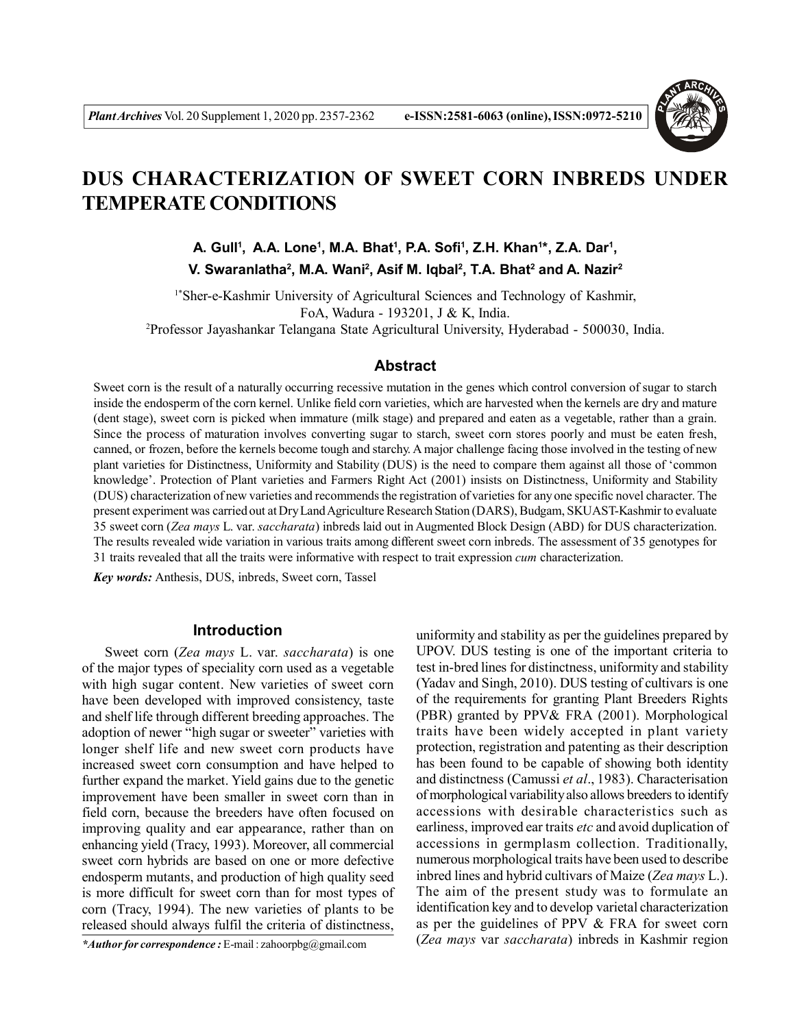

# **DUS CHARACTERIZATION OF SWEET CORN INBREDS UNDER TEMPERATE CONDITIONS**

**A. Gull<sup>1</sup> , A.A. Lone<sup>1</sup> , M.A. Bhat<sup>1</sup> , P.A. Sofi<sup>1</sup> , Z.H. Khan<sup>1</sup> \*, Z.A. Dar<sup>1</sup> , V. Swaranlatha<sup>2</sup> , M.A. Wani<sup>2</sup> , Asif M. Iqbal<sup>2</sup> , T.A. Bhat<sup>2</sup> and A. Nazir<sup>2</sup>**

1\*Sher-e-Kashmir University of Agricultural Sciences and Technology of Kashmir, FoA, Wadura - 193201, J & K, India. <sup>2</sup>Professor Jayashankar Telangana State Agricultural University, Hyderabad - 500030, India.

## **Abstract**

Sweet corn is the result of a naturally occurring recessive mutation in the genes which control conversion of sugar to starch inside the endosperm of the corn kernel. Unlike field corn varieties, which are harvested when the kernels are dry and mature (dent stage), sweet corn is picked when immature (milk stage) and prepared and eaten as a vegetable, rather than a grain. Since the process of maturation involves converting sugar to starch, sweet corn stores poorly and must be eaten fresh, canned, or frozen, before the kernels become tough and starchy. A major challenge facing those involved in the testing of new plant varieties for Distinctness, Uniformity and Stability (DUS) is the need to compare them against all those of 'common knowledge'. Protection of Plant varieties and Farmers Right Act (2001) insists on Distinctness, Uniformity and Stability (DUS) characterization of new varieties and recommends the registration of varieties for any one specific novel character. The present experiment was carried out at Dry Land Agriculture Research Station (DARS), Budgam, SKUAST-Kashmir to evaluate 35 sweet corn (*Zea mays* L. var. *saccharata*) inbreds laid out in Augmented Block Design (ABD) for DUS characterization. The results revealed wide variation in various traits among different sweet corn inbreds. The assessment of 35 genotypes for 31 traits revealed that all the traits were informative with respect to trait expression *cum* characterization.

*Key words:* Anthesis, DUS, inbreds, Sweet corn, Tassel

### **Introduction**

Sweet corn (*Zea mays* L. var. *saccharata*) is one of the major types of speciality corn used as a vegetable with high sugar content. New varieties of sweet corn have been developed with improved consistency, taste and shelf life through different breeding approaches. The adoption of newer "high sugar or sweeter" varieties with longer shelf life and new sweet corn products have increased sweet corn consumption and have helped to further expand the market. Yield gains due to the genetic improvement have been smaller in sweet corn than in field corn, because the breeders have often focused on improving quality and ear appearance, rather than on enhancing yield (Tracy, 1993). Moreover, all commercial sweet corn hybrids are based on one or more defective endosperm mutants, and production of high quality seed is more difficult for sweet corn than for most types of corn (Tracy, 1994). The new varieties of plants to be released should always fulfil the criteria of distinctness,

*\*Author for correspondence :* E-mail : zahoorpbg@gmail.com

uniformity and stability as per the guidelines prepared by UPOV. DUS testing is one of the important criteria to test in-bred lines for distinctness, uniformity and stability (Yadav and Singh, 2010). DUS testing of cultivars is one of the requirements for granting Plant Breeders Rights (PBR) granted by PPV& FRA (2001). Morphological traits have been widely accepted in plant variety protection, registration and patenting as their description has been found to be capable of showing both identity and distinctness (Camussi *et al*., 1983). Characterisation of morphological variability also allows breeders to identify accessions with desirable characteristics such as earliness, improved ear traits *etc* and avoid duplication of accessions in germplasm collection. Traditionally, numerous morphological traits have been used to describe inbred lines and hybrid cultivars of Maize (*Zea mays* L.). The aim of the present study was to formulate an identification key and to develop varietal characterization as per the guidelines of PPV & FRA for sweet corn (*Zea mays* var *saccharata*) inbreds in Kashmir region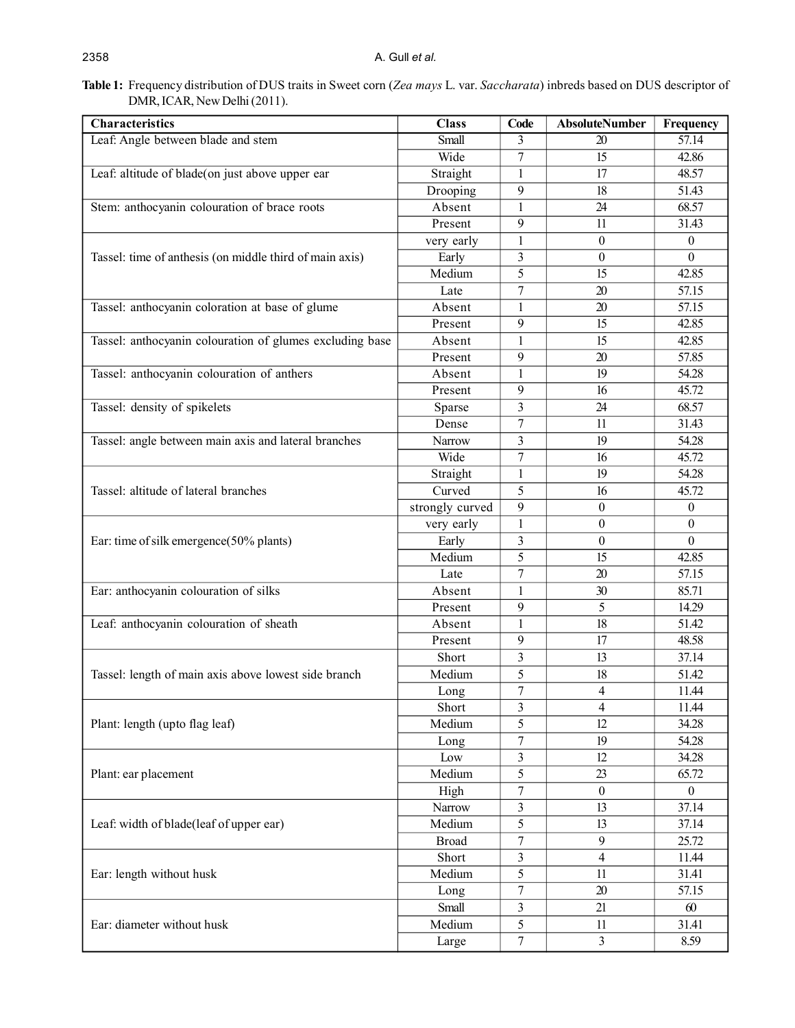# **Table 1:** Frequency distribution of DUS traits in Sweet corn (*Zea mays* L. var. *Saccharata*) inbreds based on DUS descriptor of DMR, ICAR, New Delhi (2011).

| Characteristics                                          | <b>Class</b>    | Code             | <b>AbsoluteNumber</b>    | Frequency        |
|----------------------------------------------------------|-----------------|------------------|--------------------------|------------------|
| Leaf: Angle between blade and stem                       | Small           | 3                | 20                       | 57.14            |
|                                                          | Wide            | $\tau$           | 15                       | 42.86            |
| Leaf: altitude of blade(on just above upper ear          | Straight        | $\mathbf{1}$     | 17                       | 48.57            |
|                                                          | Drooping        | 9                | 18                       | 51.43            |
| Stem: anthocyanin colouration of brace roots             | Absent          | $\mathbf{1}$     | 24                       | 68.57            |
|                                                          | Present         | 9                | 11                       | 31.43            |
|                                                          | very early      | 1                | $\boldsymbol{0}$         | $\boldsymbol{0}$ |
| Tassel: time of anthesis (on middle third of main axis)  | Early           | 3                | $\boldsymbol{0}$         | $\mathbf{0}$     |
|                                                          | Medium          | 5                | 15                       | 42.85            |
|                                                          | Late            | $\overline{7}$   | 20                       | 57.15            |
| Tassel: anthocyanin coloration at base of glume          | Absent          | $\mathbf{1}$     | 20                       | 57.15            |
|                                                          | Present         | 9                | 15                       | 42.85            |
| Tassel: anthocyanin colouration of glumes excluding base | Absent          | 1                | 15                       | 42.85            |
|                                                          | Present         | 9                | 20                       | 57.85            |
| Tassel: anthocyanin colouration of anthers               | Absent          | $\mathbf{1}$     | 19                       | 54.28            |
|                                                          | Present         | 9                | 16                       | 45.72            |
| Tassel: density of spikelets                             | Sparse          | 3                | 24                       | 68.57            |
|                                                          | Dense           | 7                | 11                       | 31.43            |
| Tassel: angle between main axis and lateral branches     | Narrow          | 3                | 19                       | 54.28            |
|                                                          | Wide            | $\tau$           | 16                       | 45.72            |
|                                                          | Straight        | $\mathbf{1}$     | 19                       | 54.28            |
| Tassel: altitude of lateral branches                     | Curved          | 5                | 16                       | 45.72            |
|                                                          | strongly curved | 9                | $\boldsymbol{0}$         | $\boldsymbol{0}$ |
|                                                          | very early      | $\mathbf{1}$     | $\boldsymbol{0}$         | $\boldsymbol{0}$ |
| Ear: time of silk emergence(50% plants)                  | Early           | 3                | $\boldsymbol{0}$         | $\boldsymbol{0}$ |
|                                                          | Medium          | 5                | 15                       | 42.85            |
|                                                          | Late            | $\boldsymbol{7}$ | 20                       | 57.15            |
| Ear: anthocyanin colouration of silks                    | Absent          | 1                | 30                       | 85.71            |
|                                                          | Present         | 9                | 5                        | 14.29            |
| Leaf: anthocyanin colouration of sheath                  | Absent          | $\mathbf{1}$     | 18                       | 51.42            |
|                                                          | Present         | 9                | 17                       | 48.58            |
|                                                          | Short           | 3                | 13                       | 37.14            |
| Tassel: length of main axis above lowest side branch     | Medium          | 5                | 18                       | 51.42            |
|                                                          | Long            | $\boldsymbol{7}$ | 4                        | 11.44            |
| Plant: length (upto flag leaf)                           | Short           | 3                | 4                        | 11.44            |
|                                                          | Medium          | 5                | 12                       | 34.28            |
|                                                          | Long            | $\boldsymbol{7}$ | 19                       | 54.28            |
| Plant: ear placement                                     | Low             | 3                | 12                       | 34.28            |
|                                                          | Medium          | 5                | 23                       | 65.72            |
|                                                          | High            | 7                | $\boldsymbol{0}$         | $\boldsymbol{0}$ |
|                                                          | Narrow          | 3                | 13                       | 37.14            |
| Leaf: width of blade(leaf of upper ear)                  | Medium          | 5                | 13                       | 37.14            |
|                                                          | <b>Broad</b>    | $\tau$           | 9                        | 25.72            |
| Ear: length without husk                                 | Short           | 3                | $\overline{\mathcal{L}}$ | 11.44            |
|                                                          | Medium          | 5                | 11                       | 31.41            |
|                                                          | Long            | $\tau$           | 20                       | 57.15            |
| Ear: diameter without husk                               | Small           | 3                | 21                       | $60\,$           |
|                                                          | Medium          | 5                | 11                       | 31.41            |
|                                                          | Large           | $\boldsymbol{7}$ | 3                        | 8.59             |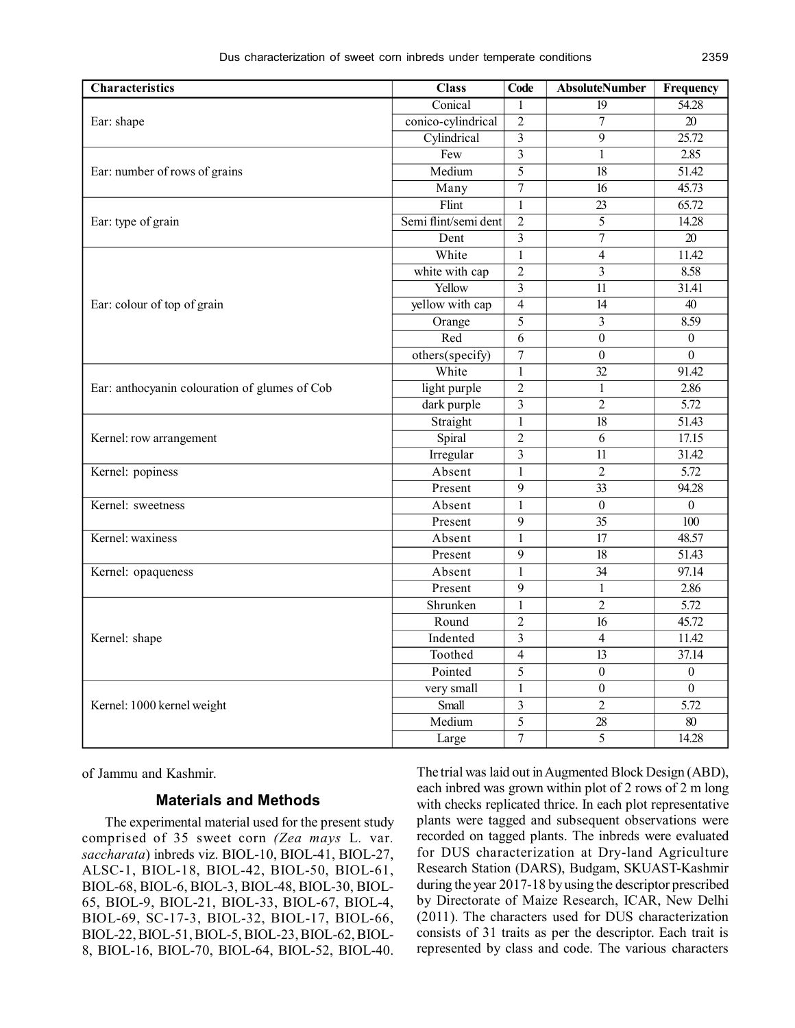| <b>Characteristics</b>                        | <b>Class</b>         | <b>Code</b>    | <b>AbsoluteNumber</b>   | Frequency          |
|-----------------------------------------------|----------------------|----------------|-------------------------|--------------------|
| Ear: shape                                    | Conical              | 1              | 19                      | 54.28              |
|                                               | conico-cylindrical   | $\overline{2}$ | $\overline{7}$          | $\overline{20}$    |
|                                               | Cylindrical          | $\overline{3}$ | $\overline{9}$          | 25.72              |
|                                               | Few                  | $\overline{3}$ | $\mathbf{1}$            | 2.85               |
| Ear: number of rows of grains                 | Medium               | $\overline{5}$ | $\overline{18}$         | 51.42              |
|                                               | Many                 | $\tau$         | 16                      | 45.73              |
| Ear: type of grain                            | Flint                | 1              | $\overline{23}$         | $\overline{65.72}$ |
|                                               | Semi flint/semi dent | $\overline{2}$ | $\overline{5}$          | 14.28              |
|                                               | Dent                 | 3              | $\overline{7}$          | $20\,$             |
| Ear: colour of top of grain                   | White                | $\mathbf{1}$   | $\overline{4}$          | 11.42              |
|                                               | white with cap       | $\overline{2}$ | $\overline{3}$          | 8.58               |
|                                               | Yellow               | $\overline{3}$ | 11                      | 31.41              |
|                                               | yellow with cap      | $\overline{4}$ | 14                      | 40                 |
|                                               | Orange               | $\overline{5}$ | $\overline{\mathbf{3}}$ | 8.59               |
|                                               | Red                  | $\overline{6}$ | $\overline{0}$          | $\overline{0}$     |
|                                               | others(specify)      | $\overline{7}$ | $\overline{0}$          | $\overline{0}$     |
|                                               | White                | $\overline{1}$ | $\overline{32}$         | 91.42              |
| Ear: anthocyanin colouration of glumes of Cob | light purple         | $\overline{2}$ | $\mathbf{1}$            | 2.86               |
|                                               | dark purple          | $\overline{3}$ | $\overline{2}$          | $\overline{5.72}$  |
| Kernel: row arrangement                       | Straight             | $\mathbf{1}$   | 18                      | 51.43              |
|                                               | Spiral               | $\overline{2}$ | 6                       | 17.15              |
|                                               | Irregular            | $\overline{3}$ | 11                      | 31.42              |
| Kernel: popiness                              | Absent               | $\mathbf{1}$   | $\overline{2}$          | $\overline{5.72}$  |
|                                               | Present              | $\overline{9}$ | 33                      | 94.28              |
| Kernel: sweetness                             | Absent               | $\mathbf{1}$   | $\overline{0}$          | $\overline{0}$     |
|                                               | Present              | $\overline{9}$ | $\overline{35}$         | $\overline{100}$   |
| Kernel: waxiness                              | Absent               | $\mathbf{1}$   | 17                      | 48.57              |
|                                               | Present              | 9              | 18                      | 51.43              |
| Kernel: opaqueness                            | Absent               | $\mathbf{1}$   | 34                      | 97.14              |
|                                               | Present              | $\overline{9}$ | $\mathbf{1}$            | 2.86               |
| Kernel: shape                                 | Shrunken             | $\mathbf{1}$   | $\overline{2}$          | $\overline{5.72}$  |
|                                               | Round                | $\overline{2}$ | 16                      | 45.72              |
|                                               | Indented             | $\overline{3}$ | $\overline{4}$          | 11.42              |
|                                               | Toothed              | $\overline{4}$ | 13                      | 37.14              |
|                                               | Pointed              | 5              | $\boldsymbol{0}$        | $\boldsymbol{0}$   |
| Kernel: 1000 kernel weight                    | very small           | $\mathbf{1}$   | $\boldsymbol{0}$        | $\boldsymbol{0}$   |
|                                               | Small                | $\overline{3}$ | $\overline{2}$          | 5.72               |
|                                               | Medium               | 5              | 28                      | 80                 |
|                                               | Large                | $\overline{7}$ | $\overline{5}$          | 14.28              |

of Jammu and Kashmir.

# **Materials and Methods**

The experimental material used for the present study comprised of 35 sweet corn *(Zea mays* L*.* var*. saccharata*) inbreds viz. BIOL-10, BIOL-41, BIOL-27, ALSC-1, BIOL-18, BIOL-42, BIOL-50, BIOL-61, BIOL-68, BIOL-6, BIOL-3, BIOL-48, BIOL-30, BIOL-65, BIOL-9, BIOL-21, BIOL-33, BIOL-67, BIOL-4, BIOL-69, SC-17-3, BIOL-32, BIOL-17, BIOL-66, BIOL-22, BIOL-51, BIOL-5, BIOL-23, BIOL-62, BIOL-8, BIOL-16, BIOL-70, BIOL-64, BIOL-52, BIOL-40. The trial was laid out in Augmented Block Design (ABD), each inbred was grown within plot of 2 rows of 2 m long with checks replicated thrice. In each plot representative plants were tagged and subsequent observations were recorded on tagged plants. The inbreds were evaluated for DUS characterization at Dry-land Agriculture Research Station (DARS), Budgam, SKUAST-Kashmir during the year 2017-18 by using the descriptor prescribed by Directorate of Maize Research, ICAR, New Delhi (2011). The characters used for DUS characterization consists of 31 traits as per the descriptor. Each trait is represented by class and code. The various characters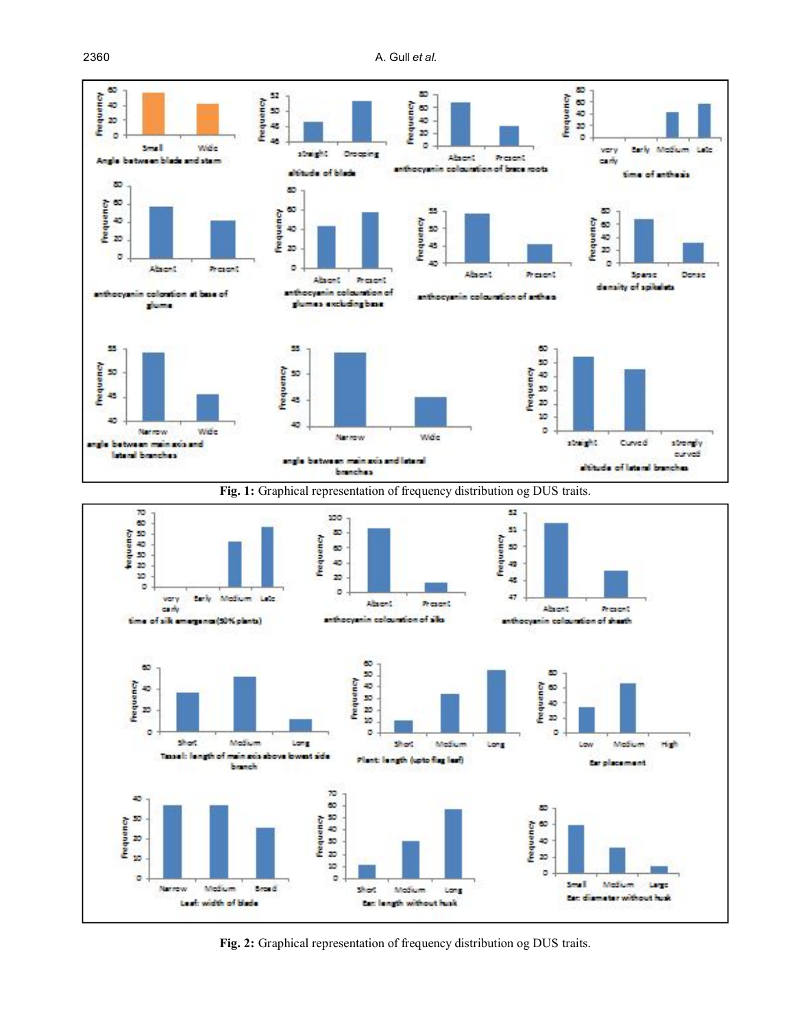

**Fig. 2:** Graphical representation of frequency distribution og DUS traits.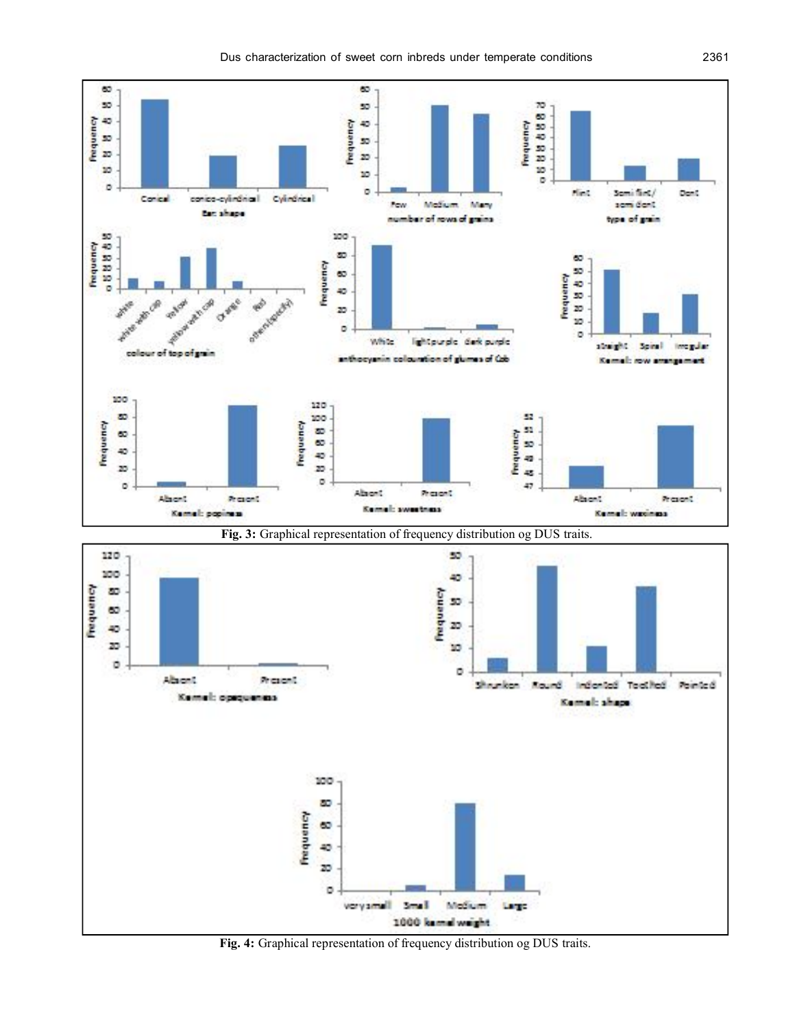

**Fig. 4:** Graphical representation of frequency distribution og DUS traits.